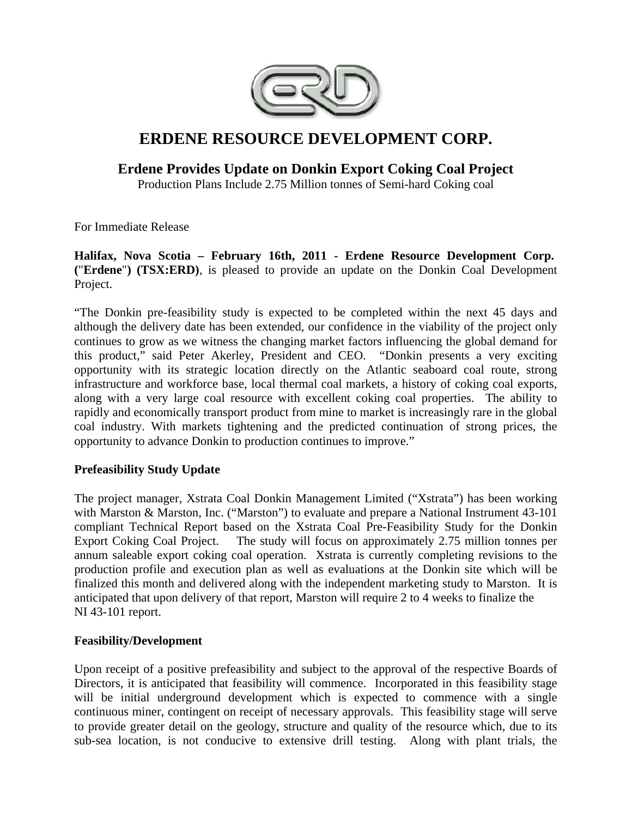

# **ERDENE RESOURCE DEVELOPMENT CORP.**

## **Erdene Provides Update on Donkin Export Coking Coal Project**

Production Plans Include 2.75 Million tonnes of Semi-hard Coking coal

For Immediate Release

### **Halifax, Nova Scotia – February 16th, 2011 - Erdene Resource Development Corp. (**"**Erdene**"**) (TSX:ERD)**, is pleased to provide an update on the Donkin Coal Development Project.

"The Donkin pre-feasibility study is expected to be completed within the next 45 days and although the delivery date has been extended, our confidence in the viability of the project only continues to grow as we witness the changing market factors influencing the global demand for this product," said Peter Akerley, President and CEO. "Donkin presents a very exciting opportunity with its strategic location directly on the Atlantic seaboard coal route, strong infrastructure and workforce base, local thermal coal markets, a history of coking coal exports, along with a very large coal resource with excellent coking coal properties. The ability to rapidly and economically transport product from mine to market is increasingly rare in the global coal industry. With markets tightening and the predicted continuation of strong prices, the opportunity to advance Donkin to production continues to improve."

#### **Prefeasibility Study Update**

The project manager, Xstrata Coal Donkin Management Limited ("Xstrata") has been working with Marston & Marston, Inc. ("Marston") to evaluate and prepare a National Instrument 43-101 compliant Technical Report based on the Xstrata Coal Pre-Feasibility Study for the Donkin Export Coking Coal Project. The study will focus on approximately 2.75 million tonnes per annum saleable export coking coal operation. Xstrata is currently completing revisions to the production profile and execution plan as well as evaluations at the Donkin site which will be finalized this month and delivered along with the independent marketing study to Marston. It is anticipated that upon delivery of that report, Marston will require 2 to 4 weeks to finalize the NI 43-101 report.

#### **Feasibility/Development**

Upon receipt of a positive prefeasibility and subject to the approval of the respective Boards of Directors, it is anticipated that feasibility will commence. Incorporated in this feasibility stage will be initial underground development which is expected to commence with a single continuous miner, contingent on receipt of necessary approvals. This feasibility stage will serve to provide greater detail on the geology, structure and quality of the resource which, due to its sub-sea location, is not conducive to extensive drill testing. Along with plant trials, the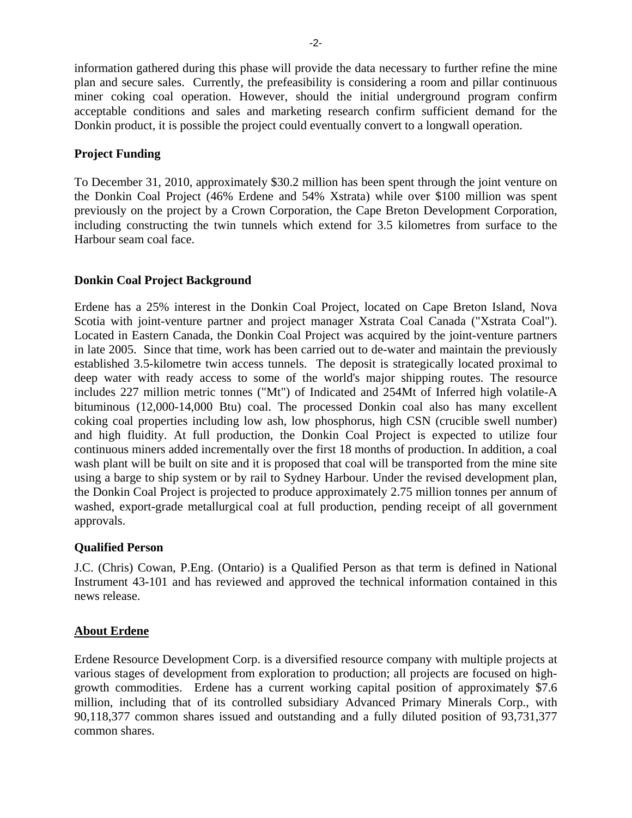information gathered during this phase will provide the data necessary to further refine the mine plan and secure sales. Currently, the prefeasibility is considering a room and pillar continuous miner coking coal operation. However, should the initial underground program confirm acceptable conditions and sales and marketing research confirm sufficient demand for the Donkin product, it is possible the project could eventually convert to a longwall operation.

#### **Project Funding**

To December 31, 2010, approximately \$30.2 million has been spent through the joint venture on the Donkin Coal Project (46% Erdene and 54% Xstrata) while over \$100 million was spent previously on the project by a Crown Corporation, the Cape Breton Development Corporation, including constructing the twin tunnels which extend for 3.5 kilometres from surface to the Harbour seam coal face.

#### **Donkin Coal Project Background**

Erdene has a 25% interest in the Donkin Coal Project, located on Cape Breton Island, Nova Scotia with joint-venture partner and project manager Xstrata Coal Canada ("Xstrata Coal"). Located in Eastern Canada, the Donkin Coal Project was acquired by the joint-venture partners in late 2005. Since that time, work has been carried out to de-water and maintain the previously established 3.5-kilometre twin access tunnels. The deposit is strategically located proximal to deep water with ready access to some of the world's major shipping routes. The resource includes 227 million metric tonnes ("Mt") of Indicated and 254Mt of Inferred high volatile-A bituminous (12,000-14,000 Btu) coal. The processed Donkin coal also has many excellent coking coal properties including low ash, low phosphorus, high CSN (crucible swell number) and high fluidity. At full production, the Donkin Coal Project is expected to utilize four continuous miners added incrementally over the first 18 months of production. In addition, a coal wash plant will be built on site and it is proposed that coal will be transported from the mine site using a barge to ship system or by rail to Sydney Harbour. Under the revised development plan, the Donkin Coal Project is projected to produce approximately 2.75 million tonnes per annum of washed, export-grade metallurgical coal at full production, pending receipt of all government approvals.

#### **Qualified Person**

J.C. (Chris) Cowan, P.Eng. (Ontario) is a Qualified Person as that term is defined in National Instrument 43-101 and has reviewed and approved the technical information contained in this news release.

#### **About Erdene**

Erdene Resource Development Corp. is a diversified resource company with multiple projects at various stages of development from exploration to production; all projects are focused on highgrowth commodities. Erdene has a current working capital position of approximately \$7.6 million, including that of its controlled subsidiary Advanced Primary Minerals Corp., with 90,118,377 common shares issued and outstanding and a fully diluted position of 93,731,377 common shares.